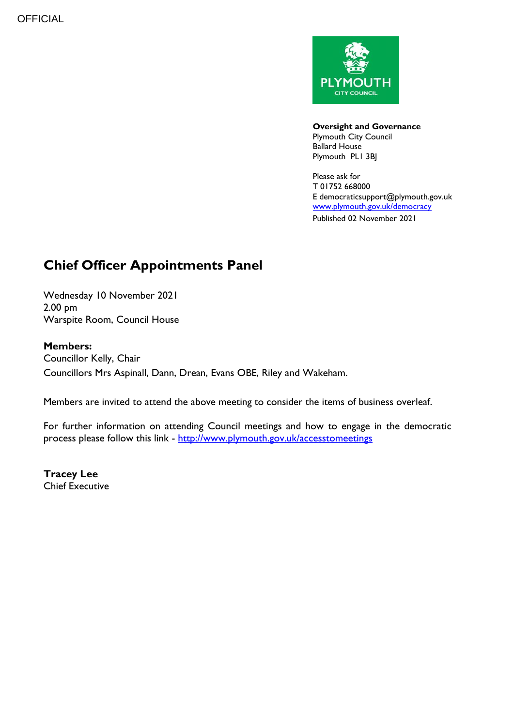

**Oversight and Governance** Plymouth City Council Ballard House Plymouth PL1 3BJ

Please ask for T 01752 668000 E democraticsupport@plymouth.gov.uk [www.plymouth.gov.uk/](http://www.plymouth.gov.uk/)democracy Published 02 November 2021

# **Chief Officer Appointments Panel**

Wednesday 10 November 2021 2.00 pm Warspite Room, Council House

## **Members:**

Councillor Kelly, Chair Councillors Mrs Aspinall, Dann, Drean, Evans OBE, Riley and Wakeham.

Members are invited to attend the above meeting to consider the items of business overleaf.

For further information on attending Council meetings and how to engage in the democratic process please follow this link - <http://www.plymouth.gov.uk/accesstomeetings>

**Tracey Lee** Chief Executive